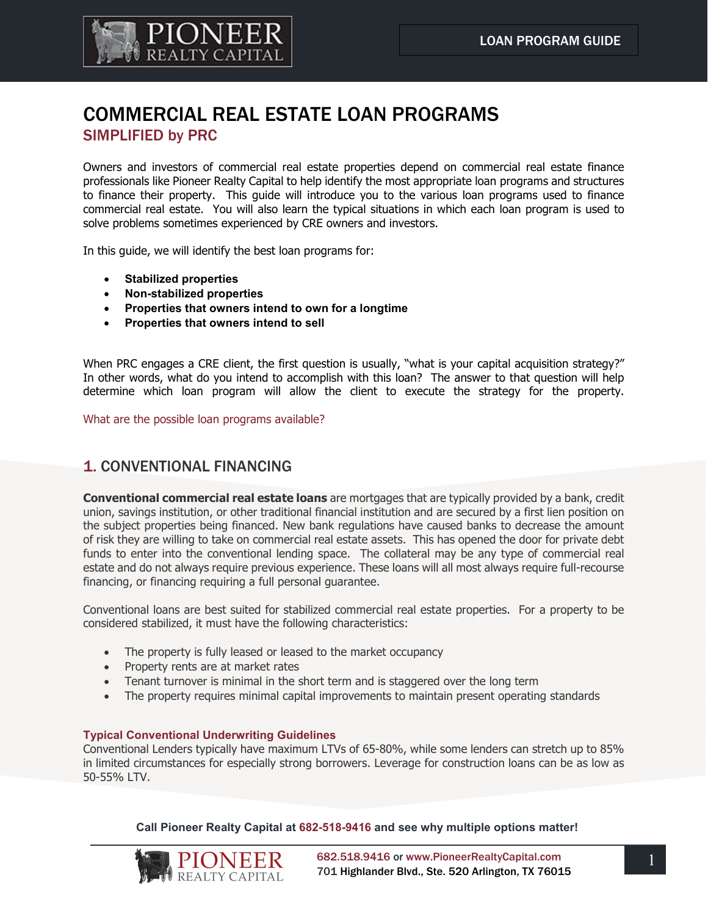

# COMMERCIAL REAL ESTATE LOAN PROGRAMS SIMPLIFIED by PRC

Owners and investors of commercial real estate properties depend on commercial real estate finance professionals like Pioneer Realty Capital to help identify the most appropriate loan programs and structures to finance their property. This guide will introduce you to the various loan programs used to finance commercial real estate. You will also learn the typical situations in which each loan program is used to solve problems sometimes experienced by CRE owners and investors.

In this guide, we will identify the best loan programs for:

- **Stabilized properties**
- **Non-stabilized properties**
- **Properties that owners intend to own for a longtime**
- **Properties that owners intend to sell**

When PRC engages a CRE client, the first question is usually, "what is your capital acquisition strategy?" In other words, what do you intend to accomplish with this loan? The answer to that question will help determine which loan program will allow the client to execute the strategy for the property.

What are the possible loan programs available?

## 1. CONVENTIONAL FINANCING

**Conventional commercial real estate loans** are mortgages that are typically provided by a bank, credit union, savings institution, or other traditional financial institution and are secured by a first lien position on the subject properties being financed. New bank regulations have caused banks to decrease the amount of risk they are willing to take on commercial real estate assets. This has opened the door for private debt funds to enter into the conventional lending space. The collateral may be any type of commercial real estate and do not always require previous experience. These loans will all most always require full-recourse financing, or financing requiring a full personal guarantee.

Conventional loans are best suited for stabilized commercial real estate properties. For a property to be considered stabilized, it must have the following characteristics:

- The property is fully leased or leased to the market occupancy
- Property rents are at market rates
- Tenant turnover is minimal in the short term and is staggered over the long term
- The property requires minimal capital improvements to maintain present operating standards

## **Typical Conventional Underwriting Guidelines**

Conventional Lenders typically have maximum LTVs of 65-80%, while some lenders can stretch up to 85% in limited circumstances for especially strong borrowers. Leverage for construction loans can be as low as 50-55% LTV.

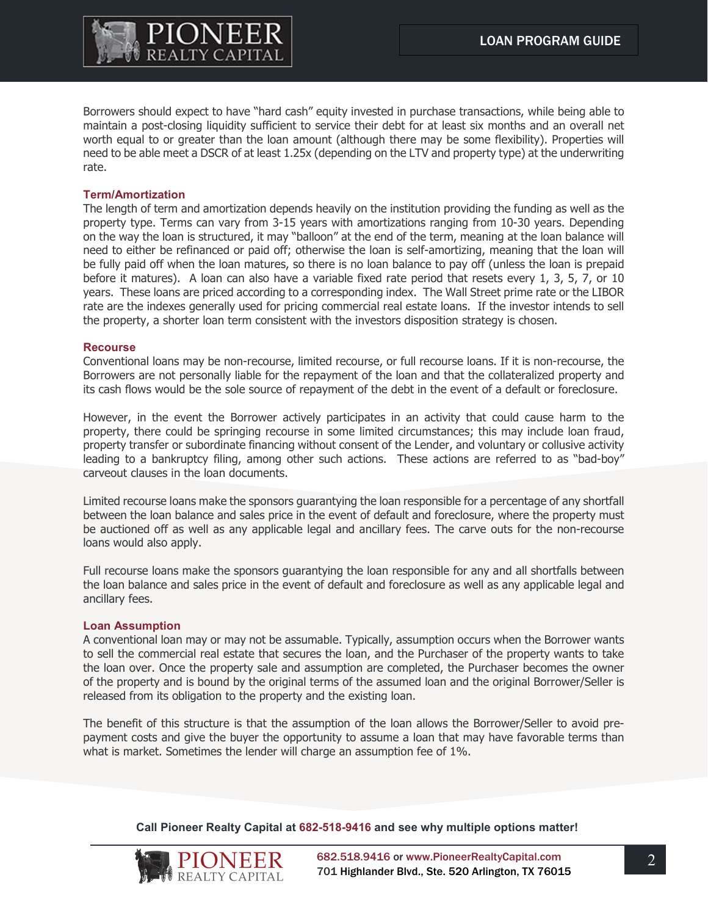

Borrowers should expect to have "hard cash" equity invested in purchase transactions, while being able to maintain a post-closing liquidity sufficient to service their debt for at least six months and an overall net worth equal to or greater than the loan amount (although there may be some flexibility). Properties will need to be able meet a DSCR of at least 1.25x (depending on the LTV and property type) at the underwriting rate.

#### **Term/Amortization**

The length of term and amortization depends heavily on the institution providing the funding as well as the property type. Terms can vary from 3-15 years with amortizations ranging from 10-30 years. Depending on the way the loan is structured, it may "balloon" at the end of the term, meaning at the loan balance will need to either be refinanced or paid off; otherwise the loan is self-amortizing, meaning that the loan will be fully paid off when the loan matures, so there is no loan balance to pay off (unless the loan is prepaid before it matures). A loan can also have a variable fixed rate period that resets every 1, 3, 5, 7, or 10 years. These loans are priced according to a corresponding index. The Wall Street prime rate or the LIBOR rate are the indexes generally used for pricing commercial real estate loans. If the investor intends to sell the property, a shorter loan term consistent with the investors disposition strategy is chosen.

#### **Recourse**

Conventional loans may be non-recourse, limited recourse, or full recourse loans. If it is non-recourse, the Borrowers are not personally liable for the repayment of the loan and that the collateralized property and its cash flows would be the sole source of repayment of the debt in the event of a default or foreclosure.

However, in the event the Borrower actively participates in an activity that could cause harm to the property, there could be springing recourse in some limited circumstances; this may include loan fraud, property transfer or subordinate financing without consent of the Lender, and voluntary or collusive activity leading to a bankruptcy filing, among other such actions. These actions are referred to as "bad-boy" carveout clauses in the loan documents.

Limited recourse loans make the sponsors guarantying the loan responsible for a percentage of any shortfall between the loan balance and sales price in the event of default and foreclosure, where the property must be auctioned off as well as any applicable legal and ancillary fees. The carve outs for the non-recourse loans would also apply.

Full recourse loans make the sponsors guarantying the loan responsible for any and all shortfalls between the loan balance and sales price in the event of default and foreclosure as well as any applicable legal and ancillary fees.

#### **Loan Assumption**

A conventional loan may or may not be assumable. Typically, assumption occurs when the Borrower wants to sell the commercial real estate that secures the loan, and the Purchaser of the property wants to take the loan over. Once the property sale and assumption are completed, the Purchaser becomes the owner of the property and is bound by the original terms of the assumed loan and the original Borrower/Seller is released from its obligation to the property and the existing loan.

The benefit of this structure is that the assumption of the loan allows the Borrower/Seller to avoid prepayment costs and give the buyer the opportunity to assume a loan that may have favorable terms than what is market. Sometimes the lender will charge an assumption fee of 1%.

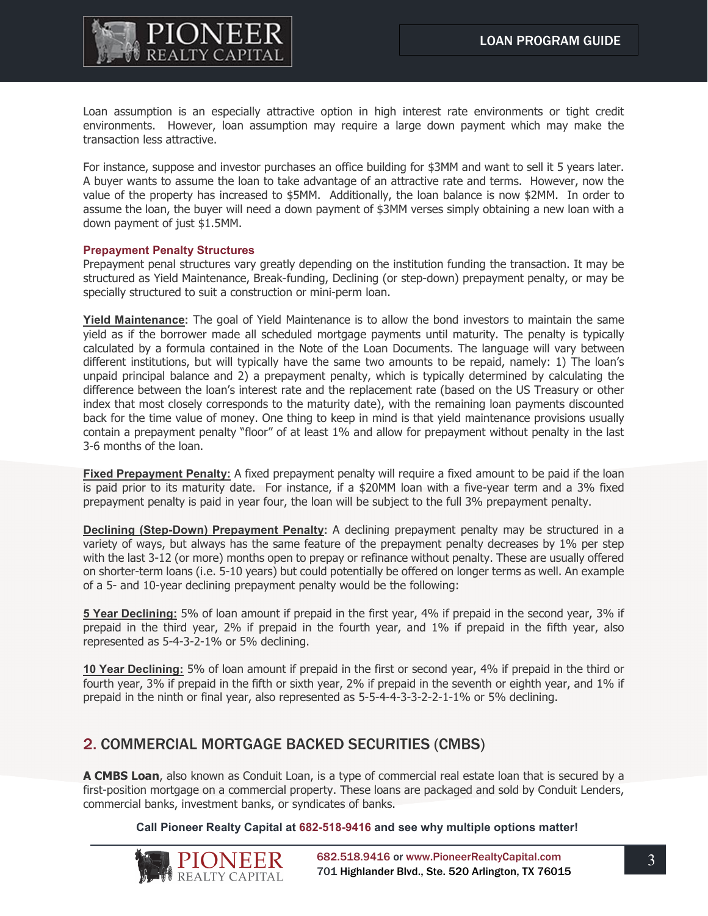

Loan assumption is an especially attractive option in high interest rate environments or tight credit environments. However, loan assumption may require a large down payment which may make the transaction less attractive.

For instance, suppose and investor purchases an office building for \$3MM and want to sell it 5 years later. A buyer wants to assume the loan to take advantage of an attractive rate and terms. However, now the value of the property has increased to \$5MM. Additionally, the loan balance is now \$2MM. In order to assume the loan, the buyer will need a down payment of \$3MM verses simply obtaining a new loan with a down payment of just \$1.5MM.

#### **Prepayment Penalty Structures**

Prepayment penal structures vary greatly depending on the institution funding the transaction. It may be structured as Yield Maintenance, Break-funding, Declining (or step-down) prepayment penalty, or may be specially structured to suit a construction or mini-perm loan.

**Yield Maintenance:** The goal of Yield Maintenance is to allow the bond investors to maintain the same yield as if the borrower made all scheduled mortgage payments until maturity. The penalty is typically calculated by a formula contained in the Note of the Loan Documents. The language will vary between different institutions, but will typically have the same two amounts to be repaid, namely: 1) The loan's unpaid principal balance and 2) a prepayment penalty, which is typically determined by calculating the difference between the loan's interest rate and the replacement rate (based on the US Treasury or other index that most closely corresponds to the maturity date), with the remaining loan payments discounted back for the time value of money. One thing to keep in mind is that yield maintenance provisions usually contain a prepayment penalty "floor" of at least 1% and allow for prepayment without penalty in the last 3-6 months of the loan.

**Fixed Prepayment Penalty:** A fixed prepayment penalty will require a fixed amount to be paid if the loan is paid prior to its maturity date. For instance, if a \$20MM loan with a five-year term and a 3% fixed prepayment penalty is paid in year four, the loan will be subject to the full 3% prepayment penalty.

**Declining (Step-Down) Prepayment Penalty:** A declining prepayment penalty may be structured in a variety of ways, but always has the same feature of the prepayment penalty decreases by 1% per step with the last 3-12 (or more) months open to prepay or refinance without penalty. These are usually offered on shorter-term loans (i.e. 5-10 years) but could potentially be offered on longer terms as well. An example of a 5- and 10-year declining prepayment penalty would be the following:

**5 Year Declining:** 5% of loan amount if prepaid in the first year, 4% if prepaid in the second year, 3% if prepaid in the third year, 2% if prepaid in the fourth year, and 1% if prepaid in the fifth year, also represented as 5-4-3-2-1% or 5% declining.

**10 Year Declining:** 5% of loan amount if prepaid in the first or second year, 4% if prepaid in the third or fourth year, 3% if prepaid in the fifth or sixth year, 2% if prepaid in the seventh or eighth year, and 1% if prepaid in the ninth or final year, also represented as 5-5-4-4-3-3-2-2-1-1% or 5% declining.

## 2. COMMERCIAL MORTGAGE BACKED SECURITIES (CMBS)

**A CMBS Loan**, also known as Conduit Loan, is a type of commercial real estate loan that is secured by a first-position mortgage on a commercial property. These loans are packaged and sold by Conduit Lenders, commercial banks, investment banks, or syndicates of banks.

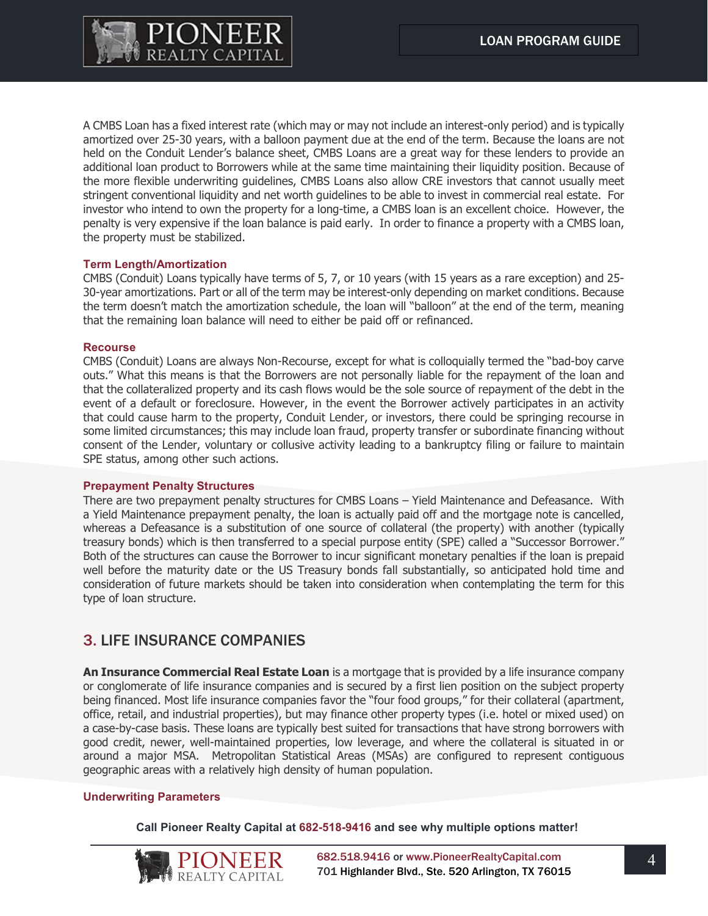

A CMBS Loan has a fixed interest rate (which may or may not include an interest-only period) and is typically amortized over 25-30 years, with a balloon payment due at the end of the term. Because the loans are not held on the Conduit Lender's balance sheet, CMBS Loans are a great way for these lenders to provide an additional loan product to Borrowers while at the same time maintaining their liquidity position. Because of the more flexible underwriting guidelines, CMBS Loans also allow CRE investors that cannot usually meet stringent conventional liquidity and net worth guidelines to be able to invest in commercial real estate. For investor who intend to own the property for a long-time, a CMBS loan is an excellent choice. However, the penalty is very expensive if the loan balance is paid early. In order to finance a property with a CMBS loan, the property must be stabilized.

### **Term Length/Amortization**

CMBS (Conduit) Loans typically have terms of 5, 7, or 10 years (with 15 years as a rare exception) and 25- 30-year amortizations. Part or all of the term may be interest-only depending on market conditions. Because the term doesn't match the amortization schedule, the loan will "balloon" at the end of the term, meaning that the remaining loan balance will need to either be paid off or refinanced.

#### **Recourse**

CMBS (Conduit) Loans are always Non-Recourse, except for what is colloquially termed the "bad-boy carve outs." What this means is that the Borrowers are not personally liable for the repayment of the loan and that the collateralized property and its cash flows would be the sole source of repayment of the debt in the event of a default or foreclosure. However, in the event the Borrower actively participates in an activity that could cause harm to the property, Conduit Lender, or investors, there could be springing recourse in some limited circumstances; this may include loan fraud, property transfer or subordinate financing without consent of the Lender, voluntary or collusive activity leading to a bankruptcy filing or failure to maintain SPE status, among other such actions.

#### **Prepayment Penalty Structures**

There are two prepayment penalty structures for CMBS Loans – Yield Maintenance and Defeasance. With a Yield Maintenance prepayment penalty, the loan is actually paid off and the mortgage note is cancelled, whereas a Defeasance is a substitution of one source of collateral (the property) with another (typically treasury bonds) which is then transferred to a special purpose entity (SPE) called a "Successor Borrower." Both of the structures can cause the Borrower to incur significant monetary penalties if the loan is prepaid well before the maturity date or the US Treasury bonds fall substantially, so anticipated hold time and consideration of future markets should be taken into consideration when contemplating the term for this type of loan structure.

## 3. LIFE INSURANCE COMPANIES

**An Insurance Commercial Real Estate Loan** is a mortgage that is provided by a life insurance company or conglomerate of life insurance companies and is secured by a first lien position on the subject property being financed. Most life insurance companies favor the "four food groups," for their collateral (apartment, office, retail, and industrial properties), but may finance other property types (i.e. hotel or mixed used) on a case-by-case basis. These loans are typically best suited for transactions that have strong borrowers with good credit, newer, well-maintained properties, low leverage, and where the collateral is situated in or around a major MSA. Metropolitan Statistical Areas (MSAs) are configured to represent contiguous geographic areas with a relatively high density of human population.

#### **Underwriting Parameters**

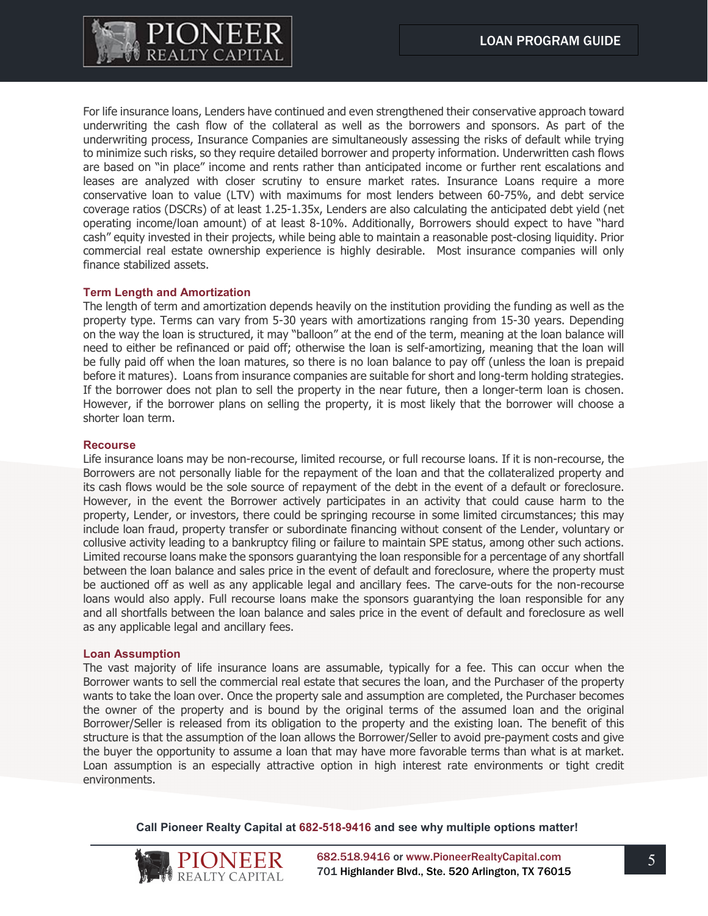

For life insurance loans, Lenders have continued and even strengthened their conservative approach toward underwriting the cash flow of the collateral as well as the borrowers and sponsors. As part of the underwriting process, Insurance Companies are simultaneously assessing the risks of default while trying to minimize such risks, so they require detailed borrower and property information. Underwritten cash flows are based on "in place" income and rents rather than anticipated income or further rent escalations and leases are analyzed with closer scrutiny to ensure market rates. Insurance Loans require a more conservative loan to value (LTV) with maximums for most lenders between 60-75%, and debt service coverage ratios (DSCRs) of at least 1.25-1.35x, Lenders are also calculating the anticipated debt yield (net operating income/loan amount) of at least 8-10%. Additionally, Borrowers should expect to have "hard cash" equity invested in their projects, while being able to maintain a reasonable post-closing liquidity. Prior commercial real estate ownership experience is highly desirable. Most insurance companies will only finance stabilized assets.

### **Term Length and Amortization**

The length of term and amortization depends heavily on the institution providing the funding as well as the property type. Terms can vary from 5-30 years with amortizations ranging from 15-30 years. Depending on the way the loan is structured, it may "balloon" at the end of the term, meaning at the loan balance will need to either be refinanced or paid off; otherwise the loan is self-amortizing, meaning that the loan will be fully paid off when the loan matures, so there is no loan balance to pay off (unless the loan is prepaid before it matures). Loans from insurance companies are suitable for short and long-term holding strategies. If the borrower does not plan to sell the property in the near future, then a longer-term loan is chosen. However, if the borrower plans on selling the property, it is most likely that the borrower will choose a shorter loan term.

#### **Recourse**

Life insurance loans may be non-recourse, limited recourse, or full recourse loans. If it is non-recourse, the Borrowers are not personally liable for the repayment of the loan and that the collateralized property and its cash flows would be the sole source of repayment of the debt in the event of a default or foreclosure. However, in the event the Borrower actively participates in an activity that could cause harm to the property, Lender, or investors, there could be springing recourse in some limited circumstances; this may include loan fraud, property transfer or subordinate financing without consent of the Lender, voluntary or collusive activity leading to a bankruptcy filing or failure to maintain SPE status, among other such actions. Limited recourse loans make the sponsors guarantying the loan responsible for a percentage of any shortfall between the loan balance and sales price in the event of default and foreclosure, where the property must be auctioned off as well as any applicable legal and ancillary fees. The carve-outs for the non-recourse loans would also apply. Full recourse loans make the sponsors guarantying the loan responsible for any and all shortfalls between the loan balance and sales price in the event of default and foreclosure as well as any applicable legal and ancillary fees.

#### **Loan Assumption**

The vast majority of life insurance loans are assumable, typically for a fee. This can occur when the Borrower wants to sell the commercial real estate that secures the loan, and the Purchaser of the property wants to take the loan over. Once the property sale and assumption are completed, the Purchaser becomes the owner of the property and is bound by the original terms of the assumed loan and the original Borrower/Seller is released from its obligation to the property and the existing loan. The benefit of this structure is that the assumption of the loan allows the Borrower/Seller to avoid pre-payment costs and give the buyer the opportunity to assume a loan that may have more favorable terms than what is at market. Loan assumption is an especially attractive option in high interest rate environments or tight credit environments.

**Call Pioneer Realty Capital at 682-518-9416 and see why multiple options matter!**



682.518.9416 or [www.PioneerRealtyCapital.com](http://www.pioneerrealtycapital.com/) 701 Highlander Blvd., Ste. 520 Arlington, TX 76015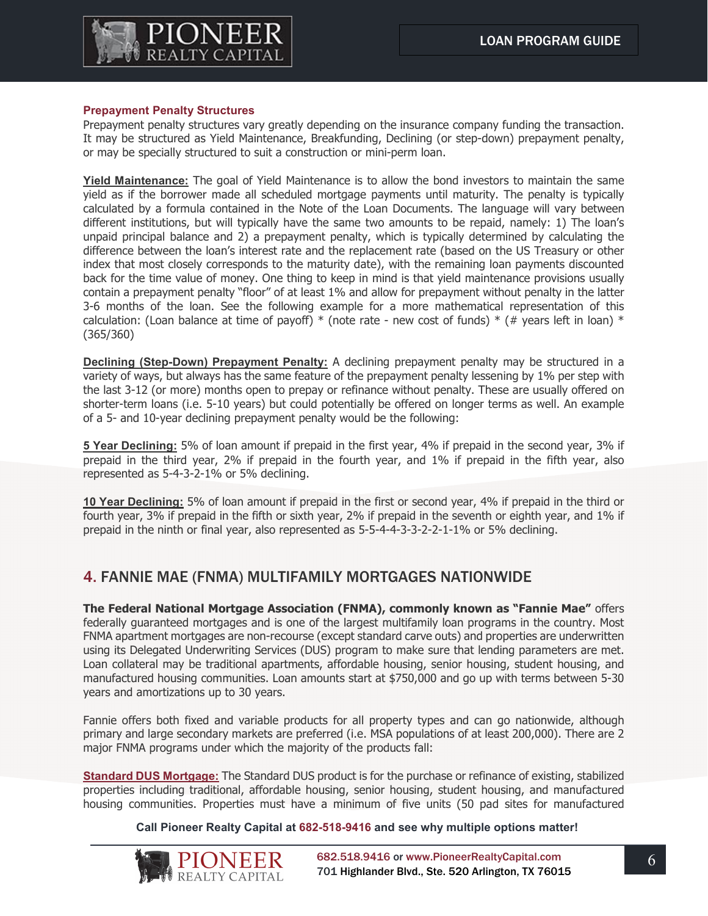

## **Prepayment Penalty Structures**

Prepayment penalty structures vary greatly depending on the insurance company funding the transaction. It may be structured as Yield Maintenance, Breakfunding, Declining (or step-down) prepayment penalty, or may be specially structured to suit a construction or mini-perm loan.

**Yield Maintenance:** The goal of Yield Maintenance is to allow the bond investors to maintain the same yield as if the borrower made all scheduled mortgage payments until maturity. The penalty is typically calculated by a formula contained in the Note of the Loan Documents. The language will vary between different institutions, but will typically have the same two amounts to be repaid, namely: 1) The loan's unpaid principal balance and 2) a prepayment penalty, which is typically determined by calculating the difference between the loan's interest rate and the replacement rate (based on the US Treasury or other index that most closely corresponds to the maturity date), with the remaining loan payments discounted back for the time value of money. One thing to keep in mind is that yield maintenance provisions usually contain a prepayment penalty "floor" of at least 1% and allow for prepayment without penalty in the latter 3-6 months of the loan. See the following example for a more mathematical representation of this calculation: (Loan balance at time of payoff)  $*$  (note rate - new cost of funds)  $*$  (# years left in loan)  $*$ (365/360)

**Declining (Step-Down) Prepayment Penalty:** A declining prepayment penalty may be structured in a variety of ways, but always has the same feature of the prepayment penalty lessening by 1% per step with the last 3-12 (or more) months open to prepay or refinance without penalty. These are usually offered on shorter-term loans (i.e. 5-10 years) but could potentially be offered on longer terms as well. An example of a 5- and 10-year declining prepayment penalty would be the following:

**5 Year Declining:** 5% of loan amount if prepaid in the first year, 4% if prepaid in the second year, 3% if prepaid in the third year, 2% if prepaid in the fourth year, and 1% if prepaid in the fifth year, also represented as 5-4-3-2-1% or 5% declining.

**10 Year Declining:** 5% of loan amount if prepaid in the first or second year, 4% if prepaid in the third or fourth year, 3% if prepaid in the fifth or sixth year, 2% if prepaid in the seventh or eighth year, and 1% if prepaid in the ninth or final year, also represented as 5-5-4-4-3-3-2-2-1-1% or 5% declining.

## 4. FANNIE MAE (FNMA) MULTIFAMILY MORTGAGES NATIONWIDE

**The Federal National Mortgage Association (FNMA), commonly known as "Fannie Mae"** offers federally guaranteed mortgages and is one of the largest multifamily loan programs in the country. Most FNMA apartment mortgages are non-recourse (except standard carve outs) and properties are underwritten using its Delegated Underwriting Services (DUS) program to make sure that lending parameters are met. Loan collateral may be traditional apartments, affordable housing, senior housing, student housing, and manufactured housing communities. Loan amounts start at \$750,000 and go up with terms between 5-30 years and amortizations up to 30 years.

Fannie offers both fixed and variable products for all property types and can go nationwide, although primary and large secondary markets are preferred (i.e. MSA populations of at least 200,000). There are 2 major FNMA programs under which the majority of the products fall:

**Standard DUS Mortgage:** The Standard DUS product is for the purchase or refinance of existing, stabilized properties including traditional, affordable housing, senior housing, student housing, and manufactured housing communities. Properties must have a minimum of five units (50 pad sites for manufactured

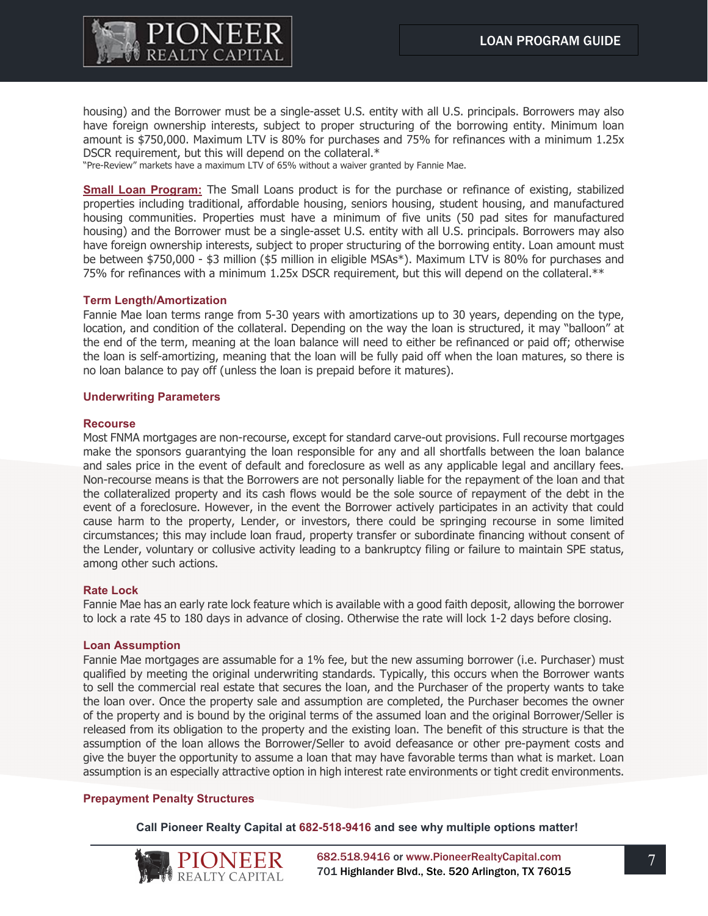

housing) and the Borrower must be a single-asset U.S. entity with all U.S. principals. Borrowers may also have foreign ownership interests, subject to proper structuring of the borrowing entity. Minimum loan amount is \$750,000. Maximum LTV is 80% for purchases and 75% for refinances with a minimum 1.25x DSCR requirement, but this will depend on the collateral.\*

"Pre-Review" markets have a maximum LTV of 65% without a waiver granted by Fannie Mae.

**Small Loan Program:** The Small Loans product is for the purchase or refinance of existing, stabilized properties including traditional, affordable housing, seniors housing, student housing, and manufactured housing communities. Properties must have a minimum of five units (50 pad sites for manufactured housing) and the Borrower must be a single-asset U.S. entity with all U.S. principals. Borrowers may also have foreign ownership interests, subject to proper structuring of the borrowing entity. Loan amount must be between \$750,000 - \$3 million (\$5 million in eligible MSAs\*). Maximum LTV is 80% for purchases and 75% for refinances with a minimum 1.25x DSCR requirement, but this will depend on the collateral.\*\*

#### **Term Length/Amortization**

Fannie Mae loan terms range from 5-30 years with amortizations up to 30 years, depending on the type, location, and condition of the collateral. Depending on the way the loan is structured, it may "balloon" at the end of the term, meaning at the loan balance will need to either be refinanced or paid off; otherwise the loan is self-amortizing, meaning that the loan will be fully paid off when the loan matures, so there is no loan balance to pay off (unless the loan is prepaid before it matures).

#### **Underwriting Parameters**

### **Recourse**

Most FNMA mortgages are non-recourse, except for standard carve-out provisions. Full recourse mortgages make the sponsors guarantying the loan responsible for any and all shortfalls between the loan balance and sales price in the event of default and foreclosure as well as any applicable legal and ancillary fees. Non-recourse means is that the Borrowers are not personally liable for the repayment of the loan and that the collateralized property and its cash flows would be the sole source of repayment of the debt in the event of a foreclosure. However, in the event the Borrower actively participates in an activity that could cause harm to the property, Lender, or investors, there could be springing recourse in some limited circumstances; this may include loan fraud, property transfer or subordinate financing without consent of the Lender, voluntary or collusive activity leading to a bankruptcy filing or failure to maintain SPE status, among other such actions.

## **Rate Lock**

Fannie Mae has an early rate lock feature which is available with a good faith deposit, allowing the borrower to lock a rate 45 to 180 days in advance of closing. Otherwise the rate will lock 1-2 days before closing.

#### **Loan Assumption**

Fannie Mae mortgages are assumable for a 1% fee, but the new assuming borrower (i.e. Purchaser) must qualified by meeting the original underwriting standards. Typically, this occurs when the Borrower wants to sell the commercial real estate that secures the loan, and the Purchaser of the property wants to take the loan over. Once the property sale and assumption are completed, the Purchaser becomes the owner of the property and is bound by the original terms of the assumed loan and the original Borrower/Seller is released from its obligation to the property and the existing loan. The benefit of this structure is that the assumption of the loan allows the Borrower/Seller to avoid defeasance or other pre-payment costs and give the buyer the opportunity to assume a loan that may have favorable terms than what is market. Loan assumption is an especially attractive option in high interest rate environments or tight credit environments.

## **Prepayment Penalty Structures**

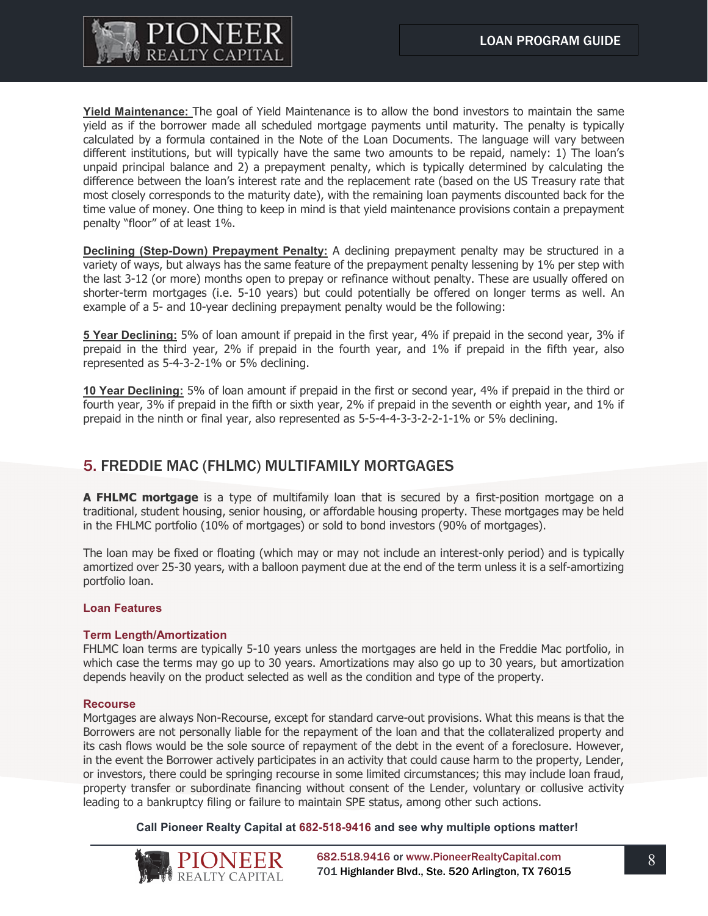

**Yield Maintenance:** The goal of Yield Maintenance is to allow the bond investors to maintain the same yield as if the borrower made all scheduled mortgage payments until maturity. The penalty is typically calculated by a formula contained in the Note of the Loan Documents. The language will vary between different institutions, but will typically have the same two amounts to be repaid, namely: 1) The loan's unpaid principal balance and 2) a prepayment penalty, which is typically determined by calculating the difference between the loan's interest rate and the replacement rate (based on the US Treasury rate that most closely corresponds to the maturity date), with the remaining loan payments discounted back for the time value of money. One thing to keep in mind is that yield maintenance provisions contain a prepayment penalty "floor" of at least 1%.

**Declining (Step-Down) Prepayment Penalty:** A declining prepayment penalty may be structured in a variety of ways, but always has the same feature of the prepayment penalty lessening by 1% per step with the last 3-12 (or more) months open to prepay or refinance without penalty. These are usually offered on shorter-term mortgages (i.e. 5-10 years) but could potentially be offered on longer terms as well. An example of a 5- and 10-year declining prepayment penalty would be the following:

**5 Year Declining:** 5% of loan amount if prepaid in the first year, 4% if prepaid in the second year, 3% if prepaid in the third year, 2% if prepaid in the fourth year, and 1% if prepaid in the fifth year, also represented as 5-4-3-2-1% or 5% declining.

**10 Year Declining:** 5% of loan amount if prepaid in the first or second year, 4% if prepaid in the third or fourth year, 3% if prepaid in the fifth or sixth year, 2% if prepaid in the seventh or eighth year, and 1% if prepaid in the ninth or final year, also represented as 5-5-4-4-3-3-2-2-1-1% or 5% declining.

## 5. FREDDIE MAC (FHLMC) MULTIFAMILY MORTGAGES

**A FHLMC mortgage** is a type of multifamily loan that is secured by a first-position mortgage on a traditional, student housing, senior housing, or affordable housing property. These mortgages may be held in the FHLMC portfolio (10% of mortgages) or sold to bond investors (90% of mortgages).

The loan may be fixed or floating (which may or may not include an interest-only period) and is typically amortized over 25-30 years, with a balloon payment due at the end of the term unless it is a self-amortizing portfolio loan.

## **Loan Features**

## **Term Length/Amortization**

FHLMC loan terms are typically 5-10 years unless the mortgages are held in the Freddie Mac portfolio, in which case the terms may go up to 30 years. Amortizations may also go up to 30 years, but amortization depends heavily on the product selected as well as the condition and type of the property.

#### **Recourse**

Mortgages are always Non-Recourse, except for standard carve-out provisions. What this means is that the Borrowers are not personally liable for the repayment of the loan and that the collateralized property and its cash flows would be the sole source of repayment of the debt in the event of a foreclosure. However, in the event the Borrower actively participates in an activity that could cause harm to the property, Lender, or investors, there could be springing recourse in some limited circumstances; this may include loan fraud, property transfer or subordinate financing without consent of the Lender, voluntary or collusive activity leading to a bankruptcy filing or failure to maintain SPE status, among other such actions.

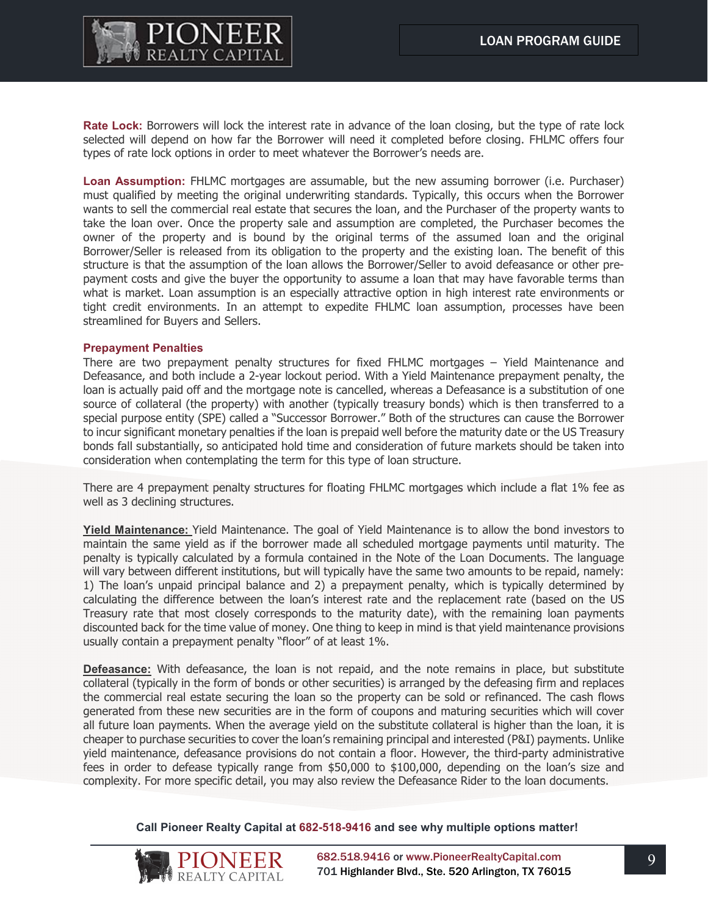

**Rate Lock:** Borrowers will lock the interest rate in advance of the loan closing, but the type of rate lock selected will depend on how far the Borrower will need it completed before closing. FHLMC offers four types of rate lock options in order to meet whatever the Borrower's needs are.

**Loan Assumption:** FHLMC mortgages are assumable, but the new assuming borrower (i.e. Purchaser) must qualified by meeting the original underwriting standards. Typically, this occurs when the Borrower wants to sell the commercial real estate that secures the loan, and the Purchaser of the property wants to take the loan over. Once the property sale and assumption are completed, the Purchaser becomes the owner of the property and is bound by the original terms of the assumed loan and the original Borrower/Seller is released from its obligation to the property and the existing loan. The benefit of this structure is that the assumption of the loan allows the Borrower/Seller to avoid defeasance or other prepayment costs and give the buyer the opportunity to assume a loan that may have favorable terms than what is market. Loan assumption is an especially attractive option in high interest rate environments or tight credit environments. In an attempt to expedite FHLMC loan assumption, processes have been streamlined for Buyers and Sellers.

#### **Prepayment Penalties**

There are two prepayment penalty structures for fixed FHLMC mortgages – Yield Maintenance and Defeasance, and both include a 2-year lockout period. With a Yield Maintenance prepayment penalty, the loan is actually paid off and the mortgage note is cancelled, whereas a Defeasance is a substitution of one source of collateral (the property) with another (typically treasury bonds) which is then transferred to a special purpose entity (SPE) called a "Successor Borrower." Both of the structures can cause the Borrower to incur significant monetary penalties if the loan is prepaid well before the maturity date or the US Treasury bonds fall substantially, so anticipated hold time and consideration of future markets should be taken into consideration when contemplating the term for this type of loan structure.

There are 4 prepayment penalty structures for floating FHLMC mortgages which include a flat 1% fee as well as 3 declining structures.

**Yield Maintenance:** Yield Maintenance. The goal of Yield Maintenance is to allow the bond investors to maintain the same yield as if the borrower made all scheduled mortgage payments until maturity. The penalty is typically calculated by a formula contained in the Note of the Loan Documents. The language will vary between different institutions, but will typically have the same two amounts to be repaid, namely: 1) The loan's unpaid principal balance and 2) a prepayment penalty, which is typically determined by calculating the difference between the loan's interest rate and the replacement rate (based on the US Treasury rate that most closely corresponds to the maturity date), with the remaining loan payments discounted back for the time value of money. One thing to keep in mind is that yield maintenance provisions usually contain a prepayment penalty "floor" of at least 1%.

**Defeasance:** With defeasance, the loan is not repaid, and the note remains in place, but substitute collateral (typically in the form of bonds or other securities) is arranged by the defeasing firm and replaces the commercial real estate securing the loan so the property can be sold or refinanced. The cash flows generated from these new securities are in the form of coupons and maturing securities which will cover all future loan payments. When the average yield on the substitute collateral is higher than the loan, it is cheaper to purchase securities to cover the loan's remaining principal and interested (P&I) payments. Unlike yield maintenance, defeasance provisions do not contain a floor. However, the third-party administrative fees in order to defease typically range from \$50,000 to \$100,000, depending on the loan's size and complexity. For more specific detail, you may also review the Defeasance Rider to the loan documents.

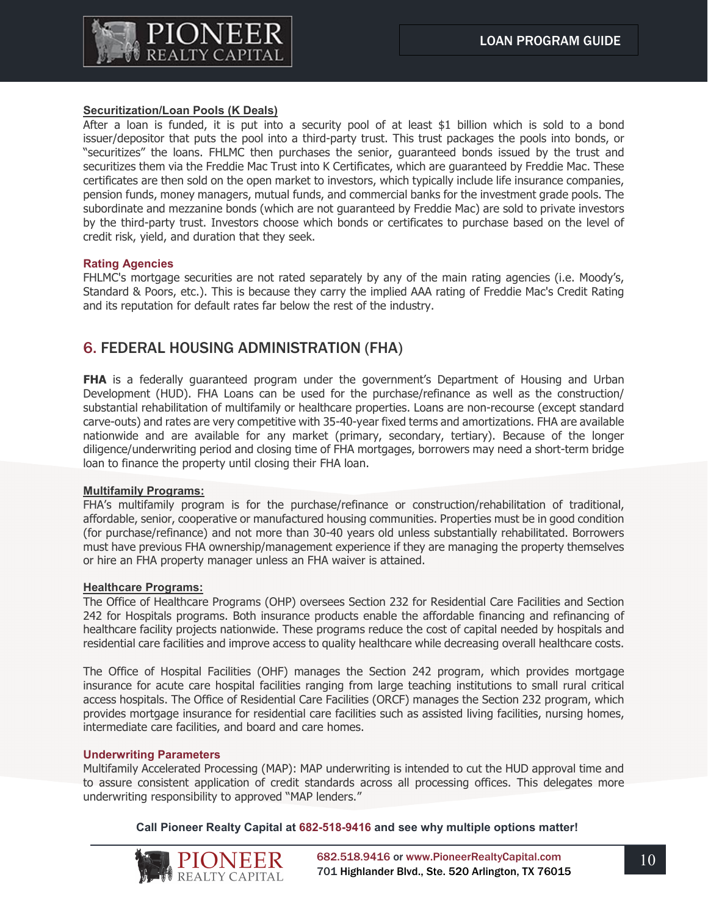

## **Securitization/Loan Pools (K Deals)**

After a loan is funded, it is put into a security pool of at least \$1 billion which is sold to a bond issuer/depositor that puts the pool into a third-party trust. This trust packages the pools into bonds, or "securitizes" the loans. FHLMC then purchases the senior, guaranteed bonds issued by the trust and securitizes them via the Freddie Mac Trust into K Certificates, which are guaranteed by Freddie Mac. These certificates are then sold on the open market to investors, which typically include life insurance companies, pension funds, money managers, mutual funds, and commercial banks for the investment grade pools. The subordinate and mezzanine bonds (which are not guaranteed by Freddie Mac) are sold to private investors by the third-party trust. Investors choose which bonds or certificates to purchase based on the level of credit risk, yield, and duration that they seek.

## **Rating Agencies**

FHLMC's mortgage securities are not rated separately by any of the main rating agencies (i.e. Moody's, Standard & Poors, etc.). This is because they carry the implied AAA rating of Freddie Mac's Credit Rating and its reputation for default rates far below the rest of the industry.

## 6. FEDERAL HOUSING ADMINISTRATION (FHA)

**FHA** is a federally guaranteed program under the government's Department of Housing and Urban Development (HUD). FHA Loans can be used for the purchase/refinance as well as the construction/ substantial rehabilitation of multifamily or healthcare properties. Loans are non-recourse (except standard carve-outs) and rates are very competitive with 35-40-year fixed terms and amortizations. FHA are available nationwide and are available for any market (primary, secondary, tertiary). Because of the longer diligence/underwriting period and closing time of FHA mortgages, borrowers may need a short-term bridge loan to finance the property until closing their FHA loan.

## **Multifamily Programs:**

FHA's multifamily program is for the purchase/refinance or construction/rehabilitation of traditional, affordable, senior, cooperative or manufactured housing communities. Properties must be in good condition (for purchase/refinance) and not more than 30-40 years old unless substantially rehabilitated. Borrowers must have previous FHA ownership/management experience if they are managing the property themselves or hire an FHA property manager unless an FHA waiver is attained.

## **Healthcare Programs:**

The Office of Healthcare Programs (OHP) oversees Section 232 for Residential Care Facilities and Section 242 for Hospitals programs. Both insurance products enable the affordable financing and refinancing of healthcare facility projects nationwide. These programs reduce the cost of capital needed by hospitals and residential care facilities and improve access to quality healthcare while decreasing overall healthcare costs.

The Office of Hospital Facilities (OHF) manages the Section 242 program, which provides mortgage insurance for acute care hospital facilities ranging from large teaching institutions to small rural critical access hospitals. The Office of Residential Care Facilities (ORCF) manages the Section 232 program, which provides mortgage insurance for residential care facilities such as assisted living facilities, nursing homes, intermediate care facilities, and board and care homes.

## **Underwriting Parameters**

Multifamily Accelerated Processing (MAP): MAP underwriting is intended to cut the HUD approval time and to assure consistent application of credit standards across all processing offices. This delegates more underwriting responsibility to approved "MAP lenders."

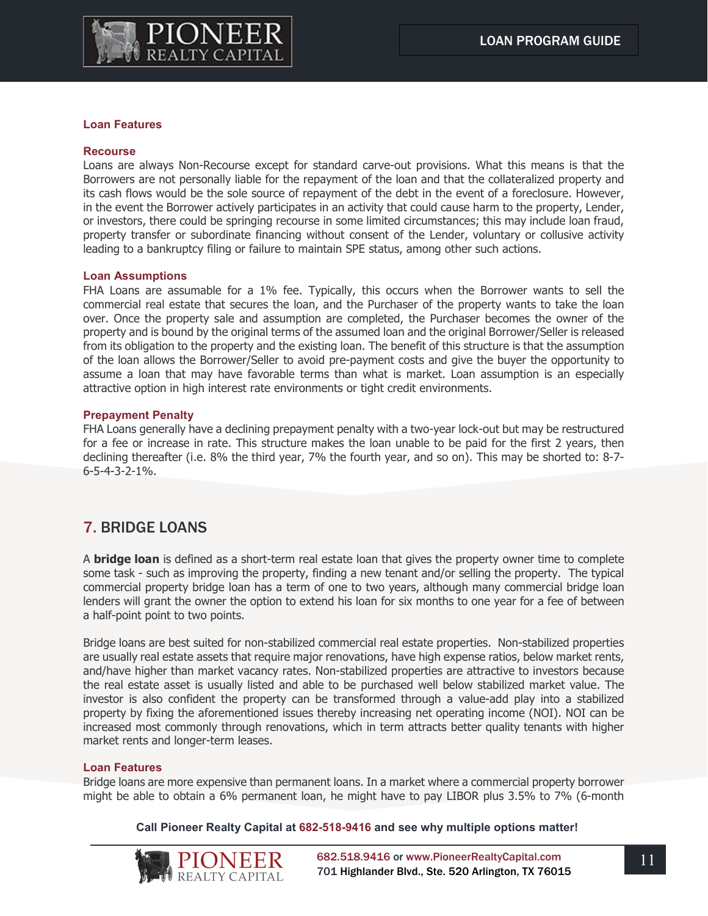

### **Loan Features**

#### **Recourse**

Loans are always Non-Recourse except for standard carve-out provisions. What this means is that the Borrowers are not personally liable for the repayment of the loan and that the collateralized property and its cash flows would be the sole source of repayment of the debt in the event of a foreclosure. However, in the event the Borrower actively participates in an activity that could cause harm to the property, Lender, or investors, there could be springing recourse in some limited circumstances; this may include loan fraud, property transfer or subordinate financing without consent of the Lender, voluntary or collusive activity leading to a bankruptcy filing or failure to maintain SPE status, among other such actions.

#### **Loan Assumptions**

FHA Loans are assumable for a 1% fee. Typically, this occurs when the Borrower wants to sell the commercial real estate that secures the loan, and the Purchaser of the property wants to take the loan over. Once the property sale and assumption are completed, the Purchaser becomes the owner of the property and is bound by the original terms of the assumed loan and the original Borrower/Seller is released from its obligation to the property and the existing loan. The benefit of this structure is that the assumption of the loan allows the Borrower/Seller to avoid pre-payment costs and give the buyer the opportunity to assume a loan that may have favorable terms than what is market. Loan assumption is an especially attractive option in high interest rate environments or tight credit environments.

#### **Prepayment Penalty**

FHA Loans generally have a declining prepayment penalty with a two-year lock-out but may be restructured for a fee or increase in rate. This structure makes the loan unable to be paid for the first 2 years, then declining thereafter (i.e. 8% the third year, 7% the fourth year, and so on). This may be shorted to: 8-7- 6-5-4-3-2-1%.

## 7. BRIDGE LOANS

A **bridge loan** is defined as a short-term real estate loan that gives the property owner time to complete some task - such as improving the property, finding a new tenant and/or selling the property. The typical commercial property bridge loan has a term of one to two years, although many commercial bridge loan lenders will grant the owner the option to extend his loan for six months to one year for a fee of between a half-point point to two points.

Bridge loans are best suited for non-stabilized commercial real estate properties. Non-stabilized properties are usually real estate assets that require major renovations, have high expense ratios, below market rents, and/have higher than market vacancy rates. Non-stabilized properties are attractive to investors because the real estate asset is usually listed and able to be purchased well below stabilized market value. The investor is also confident the property can be transformed through a value-add play into a stabilized property by fixing the aforementioned issues thereby increasing net operating income (NOI). NOI can be increased most commonly through renovations, which in term attracts better quality tenants with higher market rents and longer-term leases.

#### **Loan Features**

Bridge loans are more expensive than permanent loans. In a market where a commercial property borrower might be able to obtain a 6% permanent loan, he might have to pay LIBOR plus 3.5% to 7% (6-month

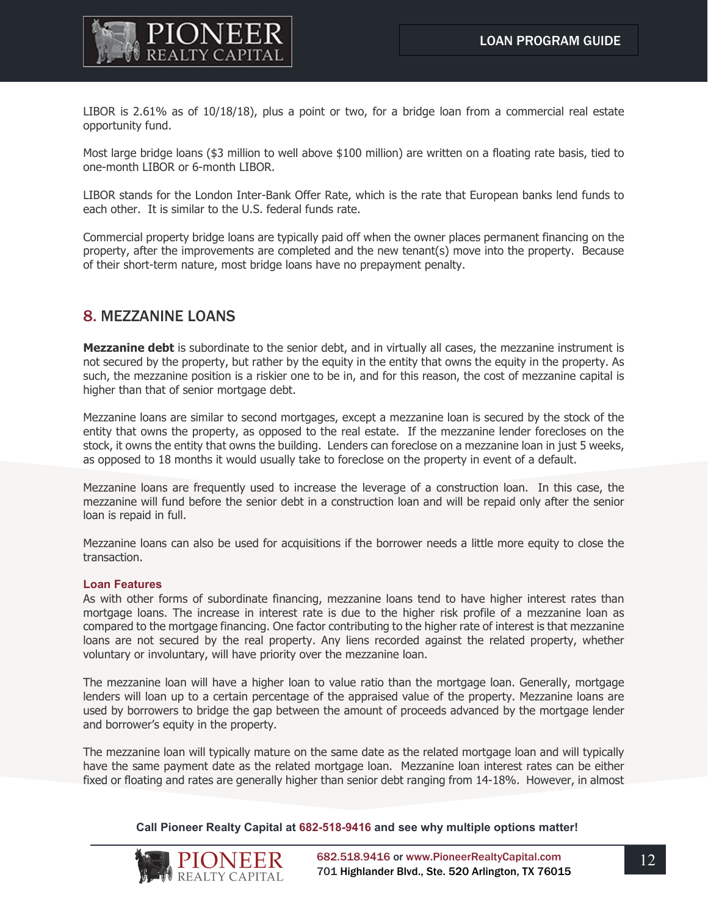

LIBOR is 2.61% as of 10/18/18), plus a point or two, for a bridge loan from a commercial real estate opportunity fund.

Most large bridge loans (\$3 million to well above \$100 million) are written on a floating rate basis, tied to one-month LIBOR or 6-month LIBOR.

LIBOR stands for the London Inter-Bank Offer Rate, which is the rate that European banks lend funds to each other. It is similar to the U.S. federal funds rate.

Commercial property bridge loans are typically paid off when the owner places permanent financing on the property, after the improvements are completed and the new tenant(s) move into the property. Because of their short-term nature, most bridge loans have no prepayment penalty.

## 8. MEZZANINE LOANS

**Mezzanine debt** is subordinate to the senior debt, and in virtually all cases, the mezzanine instrument is not secured by the property, but rather by the equity in the entity that owns the equity in the property. As such, the mezzanine position is a riskier one to be in, and for this reason, the cost of mezzanine capital is higher than that of senior mortgage debt.

Mezzanine loans are similar to second mortgages, except a mezzanine loan is secured by the stock of the entity that owns the property, as opposed to the real estate. If the mezzanine lender forecloses on the stock, it owns the entity that owns the building. Lenders can foreclose on a mezzanine loan in just 5 weeks, as opposed to 18 months it would usually take to foreclose on the property in event of a default.

Mezzanine loans are frequently used to increase the leverage of a construction loan. In this case, the mezzanine will fund before the senior debt in a construction loan and will be repaid only after the senior loan is repaid in full.

Mezzanine loans can also be used for acquisitions if the borrower needs a little more equity to close the transaction.

#### **Loan Features**

As with other forms of subordinate financing, mezzanine loans tend to have higher interest rates than mortgage loans. The increase in interest rate is due to the higher risk profile of a mezzanine loan as compared to the mortgage financing. One factor contributing to the higher rate of interest is that mezzanine loans are not secured by the real property. Any liens recorded against the related property, whether voluntary or involuntary, will have priority over the mezzanine loan.

The mezzanine loan will have a higher loan to value ratio than the mortgage loan. Generally, mortgage lenders will loan up to a certain percentage of the appraised value of the property. Mezzanine loans are used by borrowers to bridge the gap between the amount of proceeds advanced by the mortgage lender and borrower's equity in the property.

The mezzanine loan will typically mature on the same date as the related mortgage loan and will typically have the same payment date as the related mortgage loan. Mezzanine loan interest rates can be either fixed or floating and rates are generally higher than senior debt ranging from 14-18%. However, in almost

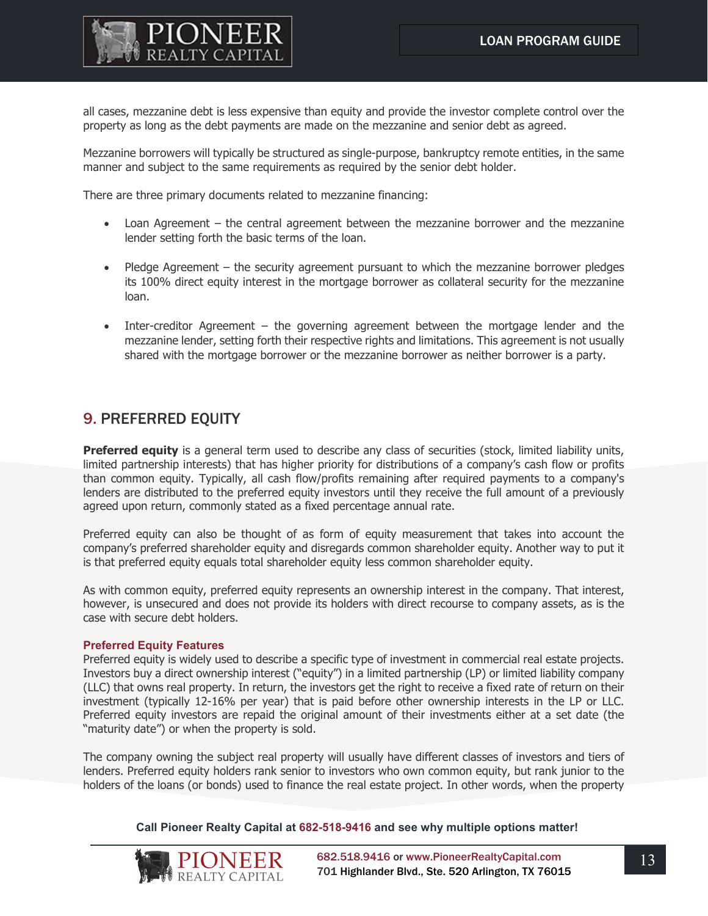

all cases, mezzanine debt is less expensive than equity and provide the investor complete control over the property as long as the debt payments are made on the mezzanine and senior debt as agreed.

Mezzanine borrowers will typically be structured as single-purpose, bankruptcy remote entities, in the same manner and subject to the same requirements as required by the senior debt holder.

There are three primary documents related to mezzanine financing:

- Loan Agreement the central agreement between the mezzanine borrower and the mezzanine lender setting forth the basic terms of the loan.
- Pledge Agreement the security agreement pursuant to which the mezzanine borrower pledges its 100% direct equity interest in the mortgage borrower as collateral security for the mezzanine loan.
- Inter-creditor Agreement the governing agreement between the mortgage lender and the mezzanine lender, setting forth their respective rights and limitations. This agreement is not usually shared with the mortgage borrower or the mezzanine borrower as neither borrower is a party.

## 9. PREFERRED EQUITY

**Preferred equity** is a general term used to describe any class of securities (stock, limited liability units, limited partnership interests) that has higher priority for distributions of a company's cash flow or profits than common equity. Typically, all cash flow/profits remaining after required payments to a company's lenders are distributed to the preferred equity investors until they receive the full amount of a previously agreed upon return, commonly stated as a fixed percentage annual rate.

Preferred equity can also be thought of as form of equity measurement that takes into account the company's preferred shareholder equity and disregards common shareholder equity. Another way to put it is that preferred equity equals total shareholder equity less common shareholder equity.

As with common equity, preferred equity represents an ownership interest in the company. That interest, however, is unsecured and does not provide its holders with direct recourse to company assets, as is the case with secure debt holders.

## **Preferred Equity Features**

Preferred equity is widely used to describe a specific type of investment in commercial real estate projects. Investors buy a direct ownership interest ("equity") in a limited partnership (LP) or limited liability company (LLC) that owns real property. In return, the investors get the right to receive a fixed rate of return on their investment (typically 12-16% per year) that is paid before other ownership interests in the LP or LLC. Preferred equity investors are repaid the original amount of their investments either at a set date (the "maturity date") or when the property is sold.

The company owning the subject real property will usually have different classes of investors and tiers of lenders. Preferred equity holders rank senior to investors who own common equity, but rank junior to the holders of the loans (or bonds) used to finance the real estate project. In other words, when the property

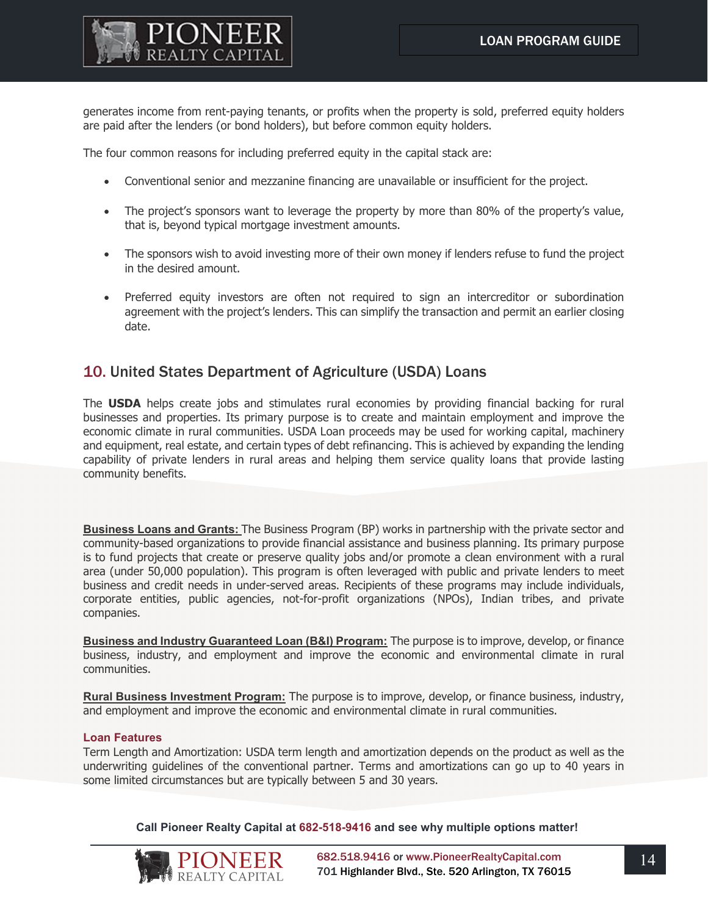

generates income from rent-paying tenants, or profits when the property is sold, preferred equity holders are paid after the lenders (or bond holders), but before common equity holders.

The four common reasons for including preferred equity in the capital stack are:

- Conventional senior and mezzanine financing are unavailable or insufficient for the project.
- The project's sponsors want to leverage the property by more than 80% of the property's value, that is, beyond typical mortgage investment amounts.
- The sponsors wish to avoid investing more of their own money if lenders refuse to fund the project in the desired amount.
- Preferred equity investors are often not required to sign an intercreditor or subordination agreement with the project's lenders. This can simplify the transaction and permit an earlier closing date.

## 10. United States Department of Agriculture (USDA) Loans

The **USDA** helps create jobs and stimulates rural economies by providing financial backing for rural businesses and properties. Its primary purpose is to create and maintain employment and improve the economic climate in rural communities. USDA Loan proceeds may be used for working capital, machinery and equipment, real estate, and certain types of debt refinancing. This is achieved by expanding the lending capability of private lenders in rural areas and helping them service quality loans that provide lasting community benefits.

**Business Loans and Grants:** The Business Program (BP) works in partnership with the private sector and community-based organizations to provide financial assistance and business planning. Its primary purpose is to fund projects that create or preserve quality jobs and/or promote a clean environment with a rural area (under 50,000 population). This program is often leveraged with public and private lenders to meet business and credit needs in under-served areas. Recipients of these programs may include individuals, corporate entities, public agencies, not-for-profit organizations (NPOs), Indian tribes, and private companies.

**Business and Industry Guaranteed Loan (B&I) Program:** The purpose is to improve, develop, or finance business, industry, and employment and improve the economic and environmental climate in rural communities.

**Rural Business Investment Program:** The purpose is to improve, develop, or finance business, industry, and employment and improve the economic and environmental climate in rural communities.

## **Loan Features**

Term Length and Amortization: USDA term length and amortization depends on the product as well as the underwriting guidelines of the conventional partner. Terms and amortizations can go up to 40 years in some limited circumstances but are typically between 5 and 30 years.

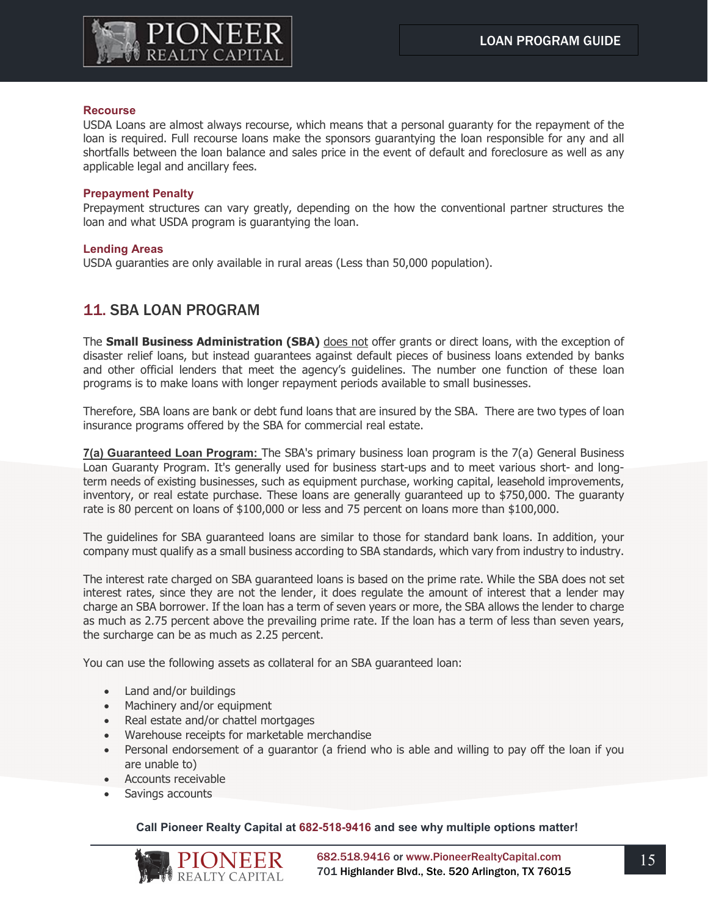

### **Recourse**

USDA Loans are almost always recourse, which means that a personal guaranty for the repayment of the loan is required. Full recourse loans make the sponsors guarantying the loan responsible for any and all shortfalls between the loan balance and sales price in the event of default and foreclosure as well as any applicable legal and ancillary fees.

#### **Prepayment Penalty**

Prepayment structures can vary greatly, depending on the how the conventional partner structures the loan and what USDA program is guarantying the loan.

### **Lending Areas**

USDA guaranties are only available in rural areas (Less than 50,000 population).

## 11. SBA LOAN PROGRAM

The **Small Business Administration (SBA)** does not offer grants or direct loans, with the exception of disaster relief loans, but instead guarantees against default pieces of business loans extended by banks and other official lenders that meet the agency's guidelines. The number one function of these loan programs is to make loans with longer repayment periods available to small businesses.

Therefore, SBA loans are bank or debt fund loans that are insured by the SBA. There are two types of loan insurance programs offered by the SBA for commercial real estate.

**7(a) Guaranteed Loan Program:** The SBA's primary business loan program is the 7(a) General Business Loan Guaranty Program. It's generally used for business start-ups and to meet various short- and longterm needs of existing businesses, such as equipment purchase, working capital, leasehold improvements, inventory, or real estate purchase. These loans are generally guaranteed up to \$750,000. The guaranty rate is 80 percent on loans of \$100,000 or less and 75 percent on loans more than \$100,000.

The guidelines for SBA guaranteed loans are similar to those for standard bank loans. In addition, your company must qualify as a small business according to SBA standards, which vary from industry to industry.

The interest rate charged on SBA guaranteed loans is based on the prime rate. While the SBA does not set interest rates, since they are not the lender, it does regulate the amount of interest that a lender may charge an SBA borrower. If the loan has a term of seven years or more, the SBA allows the lender to charge as much as 2.75 percent above the prevailing prime rate. If the loan has a term of less than seven years, the surcharge can be as much as 2.25 percent.

You can use the following assets as collateral for an SBA guaranteed loan:

- Land and/or buildings
- Machinery and/or equipment
- Real estate and/or chattel mortgages
- Warehouse receipts for marketable merchandise
- Personal endorsement of a guarantor (a friend who is able and willing to pay off the loan if you are unable to)
- Accounts receivable
- Savings accounts